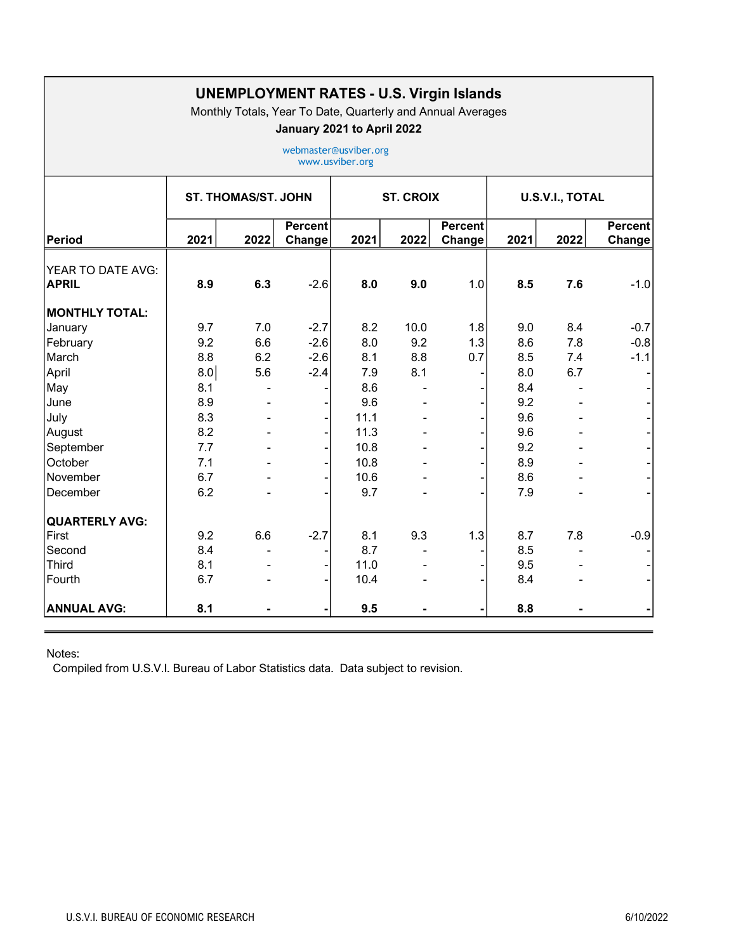| <b>UNEMPLOYMENT RATES - U.S. Virgin Islands</b><br>Monthly Totals, Year To Date, Quarterly and Annual Averages<br>January 2021 to April 2022<br>webmaster@usviber.org<br>www.usviber.org |      |      |                          |      |      |                   |      |      |                          |
|------------------------------------------------------------------------------------------------------------------------------------------------------------------------------------------|------|------|--------------------------|------|------|-------------------|------|------|--------------------------|
|                                                                                                                                                                                          |      |      |                          |      |      |                   |      |      |                          |
| <b>Period</b>                                                                                                                                                                            | 2021 | 2022 | <b>Percent</b><br>Change | 2021 | 2022 | Percent<br>Change | 2021 | 2022 | <b>Percent</b><br>Change |
| YEAR TO DATE AVG:<br><b>APRIL</b>                                                                                                                                                        | 8.9  | 6.3  | $-2.6$                   | 8.0  | 9.0  | 1.0               | 8.5  | 7.6  | $-1.0$                   |
| <b>MONTHLY TOTAL:</b>                                                                                                                                                                    |      |      |                          |      |      |                   |      |      |                          |
| January                                                                                                                                                                                  | 9.7  | 7.0  | $-2.7$                   | 8.2  | 10.0 | 1.8               | 9.0  | 8.4  | $-0.7$                   |
| February                                                                                                                                                                                 | 9.2  | 6.6  | $-2.6$                   | 8.0  | 9.2  | 1.3               | 8.6  | 7.8  | $-0.8$                   |
| March                                                                                                                                                                                    | 8.8  | 6.2  | $-2.6$                   | 8.1  | 8.8  | 0.7               | 8.5  | 7.4  | $-1.1$                   |
| April                                                                                                                                                                                    | 8.0  | 5.6  | $-2.4$                   | 7.9  | 8.1  |                   | 8.0  | 6.7  |                          |
| May                                                                                                                                                                                      | 8.1  |      |                          | 8.6  |      |                   | 8.4  |      |                          |
| June                                                                                                                                                                                     | 8.9  |      |                          | 9.6  |      |                   | 9.2  |      |                          |
| July                                                                                                                                                                                     | 8.3  |      |                          | 11.1 |      |                   | 9.6  |      |                          |
| August                                                                                                                                                                                   | 8.2  |      |                          | 11.3 |      |                   | 9.6  |      |                          |
| September                                                                                                                                                                                | 7.7  |      |                          | 10.8 |      |                   | 9.2  |      |                          |
| October                                                                                                                                                                                  | 7.1  |      |                          | 10.8 |      |                   | 8.9  |      |                          |
| November                                                                                                                                                                                 | 6.7  |      |                          | 10.6 |      |                   | 8.6  |      |                          |
| December                                                                                                                                                                                 | 6.2  |      |                          | 9.7  |      |                   | 7.9  |      |                          |
| <b>QUARTERLY AVG:</b>                                                                                                                                                                    |      |      |                          |      |      |                   |      |      |                          |
| First                                                                                                                                                                                    | 9.2  | 6.6  | $-2.7$                   | 8.1  | 9.3  | 1.3               | 8.7  | 7.8  | $-0.9$                   |
| Second                                                                                                                                                                                   | 8.4  |      |                          | 8.7  |      |                   | 8.5  |      |                          |
| Third                                                                                                                                                                                    | 8.1  |      |                          | 11.0 |      |                   | 9.5  |      |                          |
| Fourth                                                                                                                                                                                   | 6.7  |      |                          | 10.4 |      |                   | 8.4  |      |                          |
| <b>ANNUAL AVG:</b>                                                                                                                                                                       | 8.1  |      |                          | 9.5  |      |                   | 8.8  |      |                          |

Notes:

Compiled from U.S.V.I. Bureau of Labor Statistics data. Data subject to revision.